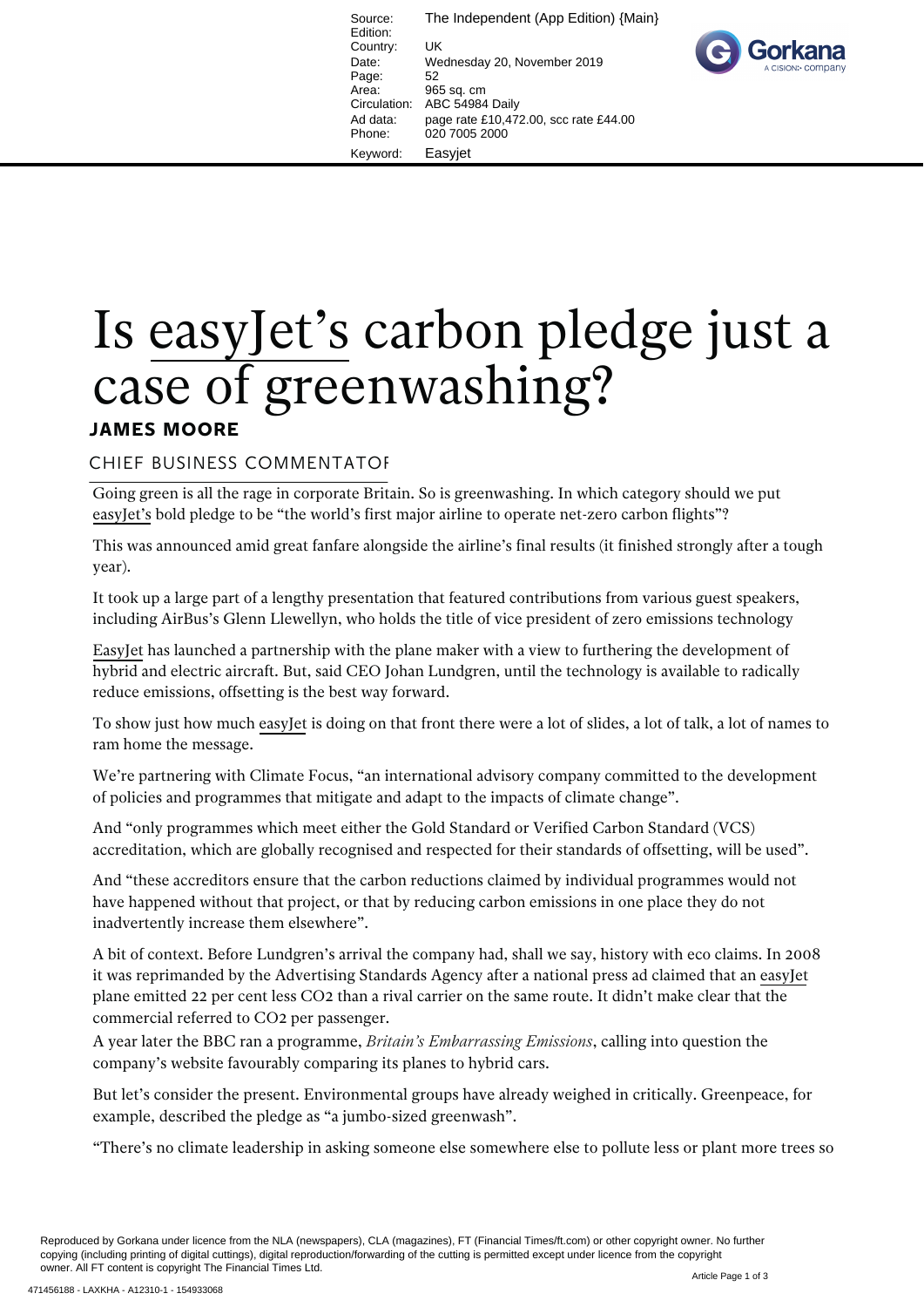Source: The Independent (App Edition) {Main} Edition: Country: UK Date: Wednesday 20, November 2019 Page: 52<br>Area: 96 965 sq. cm Circulation: ABC 54984 Daily Ad data: page rate £10,472.00, scc rate £44.00 Phone: 020 7005 2000 Keyword: Easyjet



## Is easyJet's carbon pledge just a case of greenwashing?

## **JAMES MOORE**

## CHIEF BUSINESS COMMENTATOR

Going green is all the rage in corporate Britain. So is greenwashing. In which category should we put easyJet's bold pledge to be "the world's first major airline to operate net-zero carbon flights"?

This was announced amid great fanfare alongside the airline's final results (it finished strongly after a tough year).

It took up a large part of a lengthy presentation that featured contributions from various guest speakers, including AirBus's Glenn Llewellyn, who holds the title of vice president of zero emissions technology

EasyJet has launched a partnership with the plane maker with a view to furthering the development of hybrid and electric aircraft. But, said CEO Johan Lundgren, until the technology is available to radically reduce emissions, offsetting is the best way forward.

To show just how much easyJet is doing on that front there were a lot of slides, a lot of talk, a lot of names to ram home the message.

We're partnering with Climate Focus, "an international advisory company committed to the development of policies and programmes that mitigate and adapt to the impacts of climate change".

And "only programmes which meet either the Gold Standard or Verified Carbon Standard (VCS) accreditation, which are globally recognised and respected for their standards of offsetting, will be used".

And "these accreditors ensure that the carbon reductions claimed by individual programmes would not have happened without that project, or that by reducing carbon emissions in one place they do not inadvertently increase them elsewhere".

A bit of context. Before Lundgren's arrival the company had, shall we say, history with eco claims. In 2008 it was reprimanded by the Advertising Standards Agency after a national press ad claimed that an easyJet plane emitted 22 per cent less CO2 than a rival carrier on the same route. It didn't make clear that the commercial referred to CO2 per passenger.

A year later the BBC ran a programme, *Britain's Embarrassing Emissions*, calling into question the company's website favourably comparing its planes to hybrid cars.

But let's consider the present. Environmental groups have already weighed in critically. Greenpeace, for example, described the pledge as "a jumbo-sized greenwash".

"There's no climate leadership in asking someone else somewhere else to pollute less or plant more trees so

Reproduced by Gorkana under licence from the NLA (newspapers), CLA (magazines), FT (Financial Times/ft.com) or other copyright owner. No further copying (including printing of digital cuttings), digital reproduction/forwarding of the cutting is permitted except under licence from the copyright owner. All FT content is copyright The Financial Times Ltd.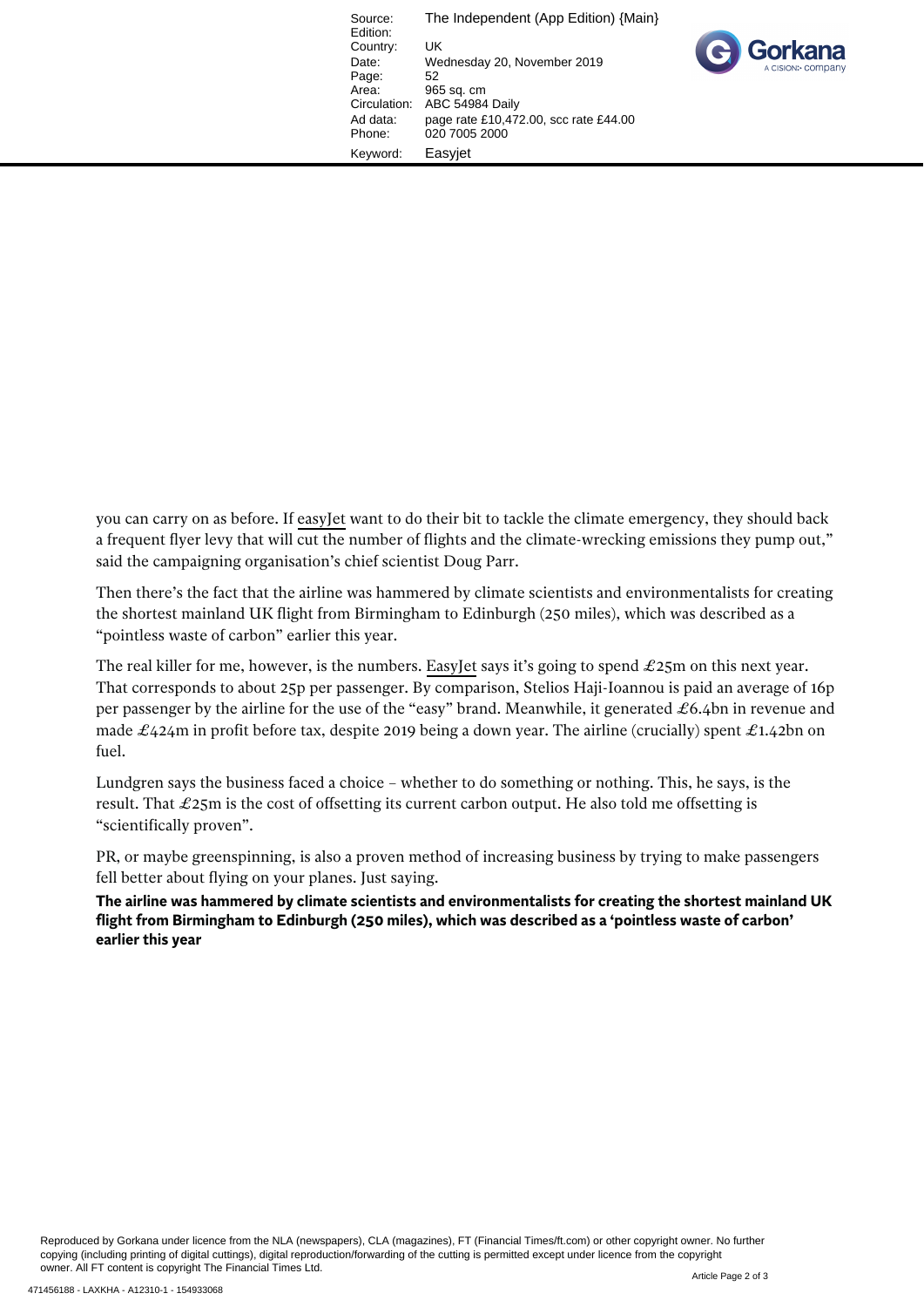Source: The Independent (App Edition) {Main} Edition: Country: UK<br>Date: We Wednesday 20, November 2019 Page:<br>Area: Area: 965 sq. cm<br>Circulation: ABC 54984 ABC 54984 Daily Ad data: page rate £10,472.00, scc rate £44.00 Phone: 020 7005 2000 Keyword: Easyjet

you can carry on as before. If easyJet want to do their bit to tackle the climate emergency, they should back a frequent flyer levy that will cut the number of flights and the climate-wrecking emissions they pump out," said the campaigning organisation's chief scientist Doug Parr.

Then there's the fact that the airline was hammered by climate scientists and environmentalists for creating the shortest mainland UK flight from Birmingham to Edinburgh (250 miles), which was described as a "pointless waste of carbon" earlier this year.

The real killer for me, however, is the numbers. EasyJet says it's going to spend  $\pounds 25m$  on this next year. That corresponds to about 25p per passenger. By comparison, Stelios Haji-Ioannou is paid an average of 16p per passenger by the airline for the use of the "easy" brand. Meanwhile, it generated  $\pounds 6.4$ bn in revenue and made  $\pounds$ 424m in profit before tax, despite 2019 being a down year. The airline (crucially) spent  $\pounds$ 1.42bn on fuel.

Lundgren says the business faced a choice – whether to do something or nothing. This, he says, is the result. That £25m is the cost of offsetting its current carbon output. He also told me offsetting is "scientifically proven".

PR, or maybe greenspinning, is also a proven method of increasing business by trying to make passengers fell better about flying on your planes. Just saying.

**The airline was hammered by climate scientists and environmentalists for creating the shortest mainland UK flight from Birmingham to Edinburgh (250 miles), which was described as a 'pointless waste of carbon' earlier this year**